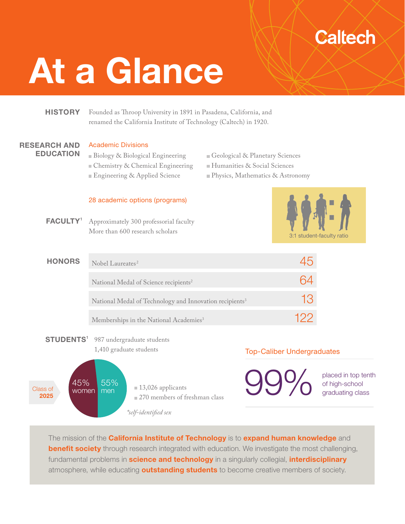# **Caltech**

# At a Glance

# **HISTORY**

Founded as Throop University in 1891 in Pasadena, California, and renamed the California Institute of Technology (Caltech) in 1920.

#### RESEARCH AND EDUCATION

#### Academic Divisions

- Biology & Biological Engineering Chemistry & Chemical Engineering Engineering & Applied Science
- Geological & Planetary Sciences
- Humanities & Social Sciences
- Physics, Mathematics & Astronomy

#### 28 academic options (programs)

Approximately 300 professorial faculty More than 600 research scholars **FACULTY<sup>1</sup>** 



| <b>HONORS</b> | Nobel Laureates <sup>2</sup>                                        |    |
|---------------|---------------------------------------------------------------------|----|
|               | National Medal of Science recipients <sup>2</sup>                   |    |
|               | National Medal of Technology and Innovation recipients <sup>3</sup> | 13 |
|               | Memberships in the National Academies <sup>3</sup>                  |    |

STUDENTS<sup>1</sup> 987 undergraduate students 1,410 graduate students



# Top-Caliber Undergraduates

**99%** placed in top tenth of high-school

of high-school graduating class

The mission of the **California Institute of Technology** is to **expand human knowledge** and **benefit society** through research integrated with education. We investigate the most challenging, fundamental problems in **science and technology** in a singularly collegial, *interdisciplinary* atmosphere, while educating **outstanding students** to become creative members of society.